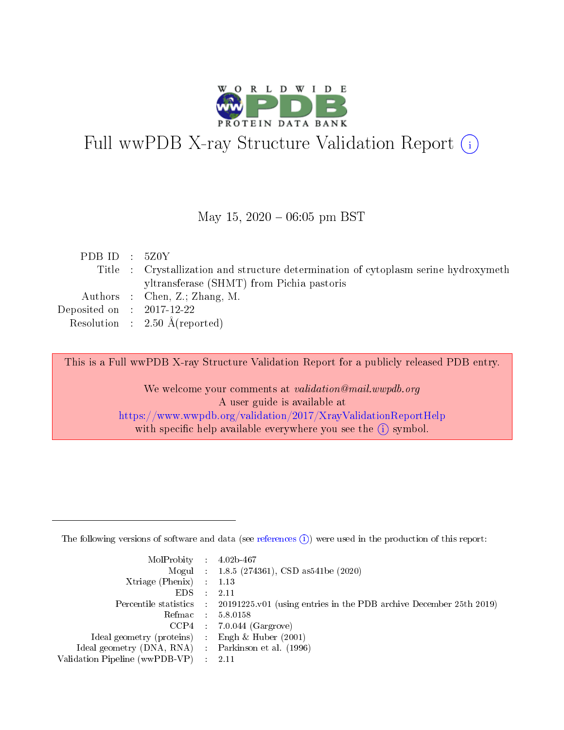

# Full wwPDB X-ray Structure Validation Report (i)

#### May 15,  $2020 - 06:05$  pm BST

| PDB ID : $5Z0Y$             |                                                                                     |
|-----------------------------|-------------------------------------------------------------------------------------|
|                             | Title : Crystallization and structure determination of cytoplasm serine hydroxymeth |
|                             | yltransferase (SHMT) from Pichia pastoris                                           |
|                             | Authors : Chen, Z.; Zhang, M.                                                       |
| Deposited on : $2017-12-22$ |                                                                                     |
|                             | Resolution : $2.50 \text{ Å}$ (reported)                                            |

This is a Full wwPDB X-ray Structure Validation Report for a publicly released PDB entry.

We welcome your comments at validation@mail.wwpdb.org A user guide is available at <https://www.wwpdb.org/validation/2017/XrayValidationReportHelp> with specific help available everywhere you see the  $(i)$  symbol.

The following versions of software and data (see [references](https://www.wwpdb.org/validation/2017/XrayValidationReportHelp#references)  $(1)$ ) were used in the production of this report:

| $MolProbability$ : 4.02b-467                        |                                                                                            |
|-----------------------------------------------------|--------------------------------------------------------------------------------------------|
|                                                     | Mogul : 1.8.5 (274361), CSD as 541be (2020)                                                |
| Xtriage (Phenix) $: 1.13$                           |                                                                                            |
| EDS :                                               | -2.11                                                                                      |
|                                                     | Percentile statistics : 20191225.v01 (using entries in the PDB archive December 25th 2019) |
| Refmac 58.0158                                      |                                                                                            |
|                                                     | $CCP4$ 7.0.044 (Gargrove)                                                                  |
| Ideal geometry (proteins) : Engh $\&$ Huber (2001)  |                                                                                            |
| Ideal geometry (DNA, RNA) : Parkinson et al. (1996) |                                                                                            |
| Validation Pipeline (wwPDB-VP) : 2.11               |                                                                                            |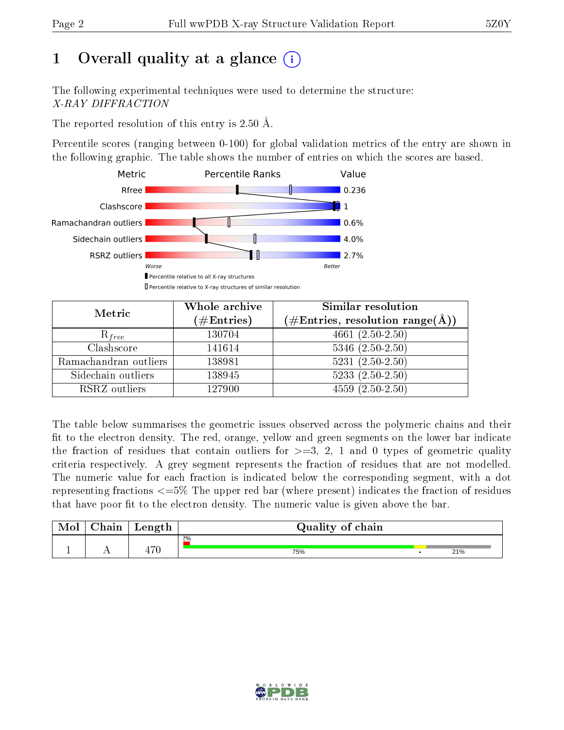## 1 [O](https://www.wwpdb.org/validation/2017/XrayValidationReportHelp#overall_quality)verall quality at a glance  $(i)$

The following experimental techniques were used to determine the structure: X-RAY DIFFRACTION

The reported resolution of this entry is 2.50 Å.

Percentile scores (ranging between 0-100) for global validation metrics of the entry are shown in the following graphic. The table shows the number of entries on which the scores are based.



| Metric                | Whole archive<br>$(\#\text{Entries})$ | Similar resolution<br>$(\#\text{Entries},\,\text{resolution}\,\,\text{range}(\textup{\AA}))$ |
|-----------------------|---------------------------------------|----------------------------------------------------------------------------------------------|
| $R_{free}$            | 130704                                | $4661 (2.50 - 2.50)$                                                                         |
| Clashscore            | 141614                                | $5346$ $(2.50-2.50)$                                                                         |
| Ramachandran outliers | 138981                                | $5231 (2.50 - 2.50)$                                                                         |
| Sidechain outliers    | 138945                                | $5233(2.50-2.50)$                                                                            |
| RSRZ outliers         | 127900                                | $4559(2.50-2.50)$                                                                            |

The table below summarises the geometric issues observed across the polymeric chains and their fit to the electron density. The red, orange, yellow and green segments on the lower bar indicate the fraction of residues that contain outliers for  $>=3, 2, 1$  and 0 types of geometric quality criteria respectively. A grey segment represents the fraction of residues that are not modelled. The numeric value for each fraction is indicated below the corresponding segment, with a dot representing fractions  $\epsilon=5\%$  The upper red bar (where present) indicates the fraction of residues that have poor fit to the electron density. The numeric value is given above the bar.

| Mol | $\cap$ hain | Length        | Quality of chain |     |
|-----|-------------|---------------|------------------|-----|
|     |             |               | $2\%$            |     |
|     |             | $H^{\bullet}$ | 75%              | 21% |

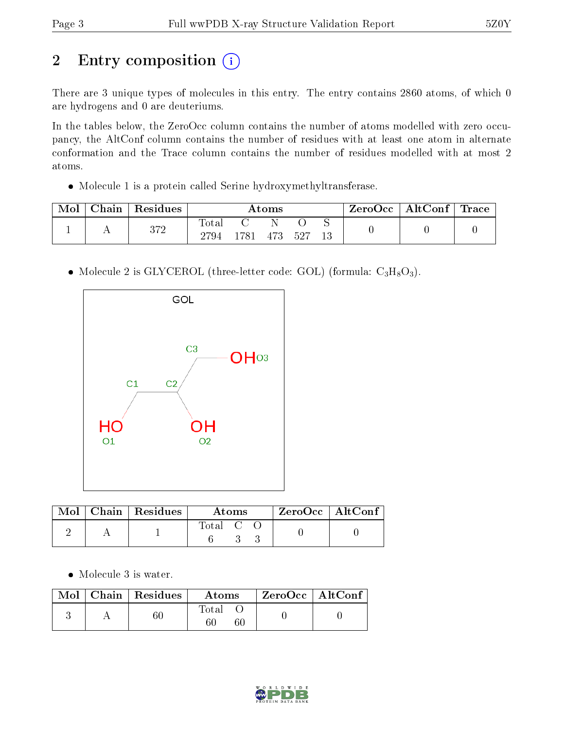## 2 Entry composition (i)

There are 3 unique types of molecules in this entry. The entry contains 2860 atoms, of which 0 are hydrogens and 0 are deuteriums.

In the tables below, the ZeroOcc column contains the number of atoms modelled with zero occupancy, the AltConf column contains the number of residues with at least one atom in alternate conformation and the Trace column contains the number of residues modelled with at most 2 atoms.

Molecule 1 is a protein called Serine hydroxymethyltransferase.

| Mol | ${\rm Chain}$ | Residues   | Atoms          |     |     |     | ZeroOcc | AltConf $ $ | Trace |  |
|-----|---------------|------------|----------------|-----|-----|-----|---------|-------------|-------|--|
|     |               | 279<br>ے ر | l'otal<br>2794 | 781 | 473 | 527 | 13      |             |       |  |

• Molecule 2 is GLYCEROL (three-letter code: GOL) (formula:  $C_3H_8O_3$ ).



|  | $Mol$   Chain   Residues | Atoms   |  |  | $ZeroOcc$   AltConf |  |
|--|--------------------------|---------|--|--|---------------------|--|
|  |                          | Total C |  |  |                     |  |

• Molecule 3 is water.

|  | $\text{Mol}$   Chain   Residues | Atoms       | $\mid$ ZeroOcc $\mid$ AltConf $\mid$ |  |
|--|---------------------------------|-------------|--------------------------------------|--|
|  |                                 | Total<br>60 |                                      |  |

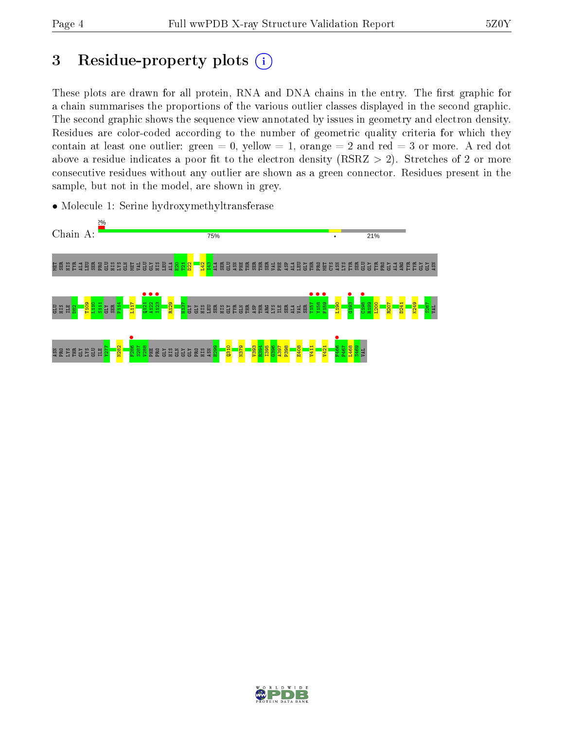## 3 Residue-property plots  $(i)$

These plots are drawn for all protein, RNA and DNA chains in the entry. The first graphic for a chain summarises the proportions of the various outlier classes displayed in the second graphic. The second graphic shows the sequence view annotated by issues in geometry and electron density. Residues are color-coded according to the number of geometric quality criteria for which they contain at least one outlier: green  $= 0$ , yellow  $= 1$ , orange  $= 2$  and red  $= 3$  or more. A red dot above a residue indicates a poor fit to the electron density (RSRZ  $> 2$ ). Stretches of 2 or more consecutive residues without any outlier are shown as a green connector. Residues present in the sample, but not in the model, are shown in grey.



• Molecule 1: Serine hydroxymethyltransferase

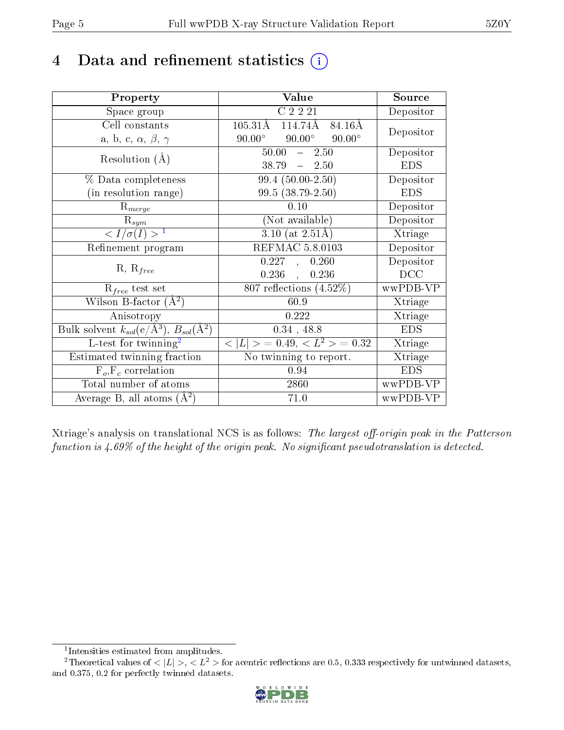## 4 Data and refinement statistics  $(i)$

| Property                                                         | Value                                           | Source     |
|------------------------------------------------------------------|-------------------------------------------------|------------|
| Space group                                                      | C2221                                           | Depositor  |
| Cell constants                                                   | $105.31\text{\AA}$<br>114.74Å<br>84.16Å         | Depositor  |
| a, b, c, $\alpha$ , $\beta$ , $\gamma$                           | $90.00^\circ$<br>$90.00^\circ$<br>$90.00^\circ$ |            |
| Resolution $(A)$                                                 | 50.00<br>2.50<br>$\frac{1}{2}$                  | Depositor  |
|                                                                  | 38.79<br>$-2.50$                                | <b>EDS</b> |
| % Data completeness                                              | $99.4(50.00-2.50)$                              | Depositor  |
| (in resolution range)                                            | $99.5(38.79-2.50)$                              | <b>EDS</b> |
| $R_{merge}$                                                      | 0.10                                            | Depositor  |
| $\mathrm{R}_{sym}$                                               | (Not available)                                 | Depositor  |
| $\langle I/\sigma(I) \rangle^{-1}$                               | $3.10$ (at $2.51\text{\AA}$ )                   | Xtriage    |
| Refinement program                                               | <b>REFMAC 5.8.0103</b>                          | Depositor  |
|                                                                  | 0.227,<br>0.260                                 | Depositor  |
| $R, R_{free}$                                                    | $0.236$ ,<br>0.236                              | DCC        |
| $R_{free}$ test set                                              | 807 reflections $(4.52\%)$                      | wwPDB-VP   |
| Wilson B-factor $(A^2)$                                          | 60.9                                            | Xtriage    |
| Anisotropy                                                       | 0.222                                           | Xtriage    |
| Bulk solvent $k_{sol}(\text{e}/\text{A}^3), B_{sol}(\text{A}^2)$ | $0.34$ , 48.8                                   | <b>EDS</b> |
| $L$ -test for twinning <sup>2</sup>                              | $< L >$ = 0.49, $< L^2 >$ = 0.32                | Xtriage    |
| Estimated twinning fraction                                      | No twinning to report.                          | Xtriage    |
| $F_o, F_c$ correlation                                           | 0.94                                            | <b>EDS</b> |
| Total number of atoms                                            | 2860                                            | wwPDB-VP   |
| Average B, all atoms $(A^2)$                                     | 71.0                                            | wwPDB-VP   |

Xtriage's analysis on translational NCS is as follows: The largest off-origin peak in the Patterson function is  $4.69\%$  of the height of the origin peak. No significant pseudotranslation is detected.

<sup>&</sup>lt;sup>2</sup>Theoretical values of  $\langle |L| \rangle$ ,  $\langle L^2 \rangle$  for acentric reflections are 0.5, 0.333 respectively for untwinned datasets, and 0.375, 0.2 for perfectly twinned datasets.



<span id="page-4-1"></span><span id="page-4-0"></span><sup>1</sup> Intensities estimated from amplitudes.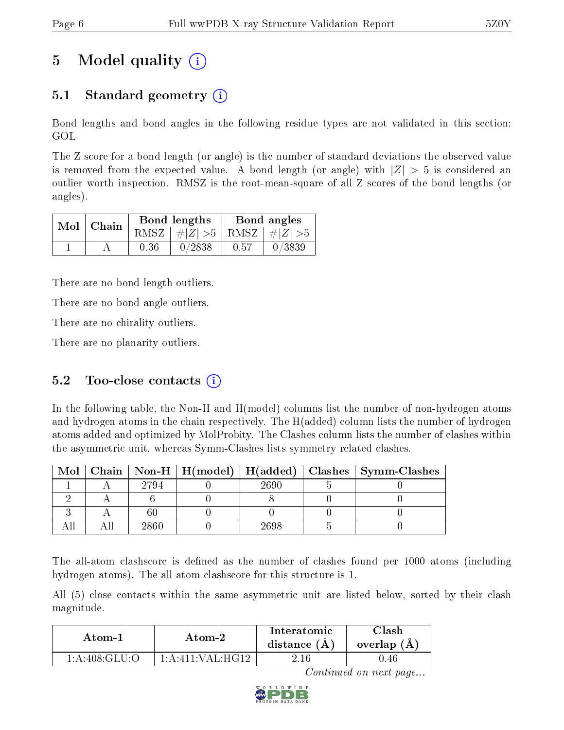## 5 Model quality  $(i)$

### 5.1 Standard geometry  $\overline{()}$

Bond lengths and bond angles in the following residue types are not validated in this section: GOL

The Z score for a bond length (or angle) is the number of standard deviations the observed value is removed from the expected value. A bond length (or angle) with  $|Z| > 5$  is considered an outlier worth inspection. RMSZ is the root-mean-square of all Z scores of the bond lengths (or angles).

|  | $Mol$   Chain |      | Bond lengths                    | Bond angles |        |
|--|---------------|------|---------------------------------|-------------|--------|
|  |               |      | RMSZ $ #Z  > 5$ RMSZ $ #Z  > 5$ |             |        |
|  |               | 0.36 | 0/2838                          | 0.57        | 0/3839 |

There are no bond length outliers.

There are no bond angle outliers.

There are no chirality outliers.

There are no planarity outliers.

#### 5.2 Too-close contacts  $(i)$

In the following table, the Non-H and H(model) columns list the number of non-hydrogen atoms and hydrogen atoms in the chain respectively. The H(added) column lists the number of hydrogen atoms added and optimized by MolProbity. The Clashes column lists the number of clashes within the asymmetric unit, whereas Symm-Clashes lists symmetry related clashes.

| Mol |      |      | Chain   Non-H   H(model)   H(added)   Clashes   Symm-Clashes |
|-----|------|------|--------------------------------------------------------------|
|     | 2794 | 2690 |                                                              |
|     |      |      |                                                              |
|     |      |      |                                                              |
|     | 2860 | 698' |                                                              |

The all-atom clashscore is defined as the number of clashes found per 1000 atoms (including hydrogen atoms). The all-atom clashscore for this structure is 1.

All (5) close contacts within the same asymmetric unit are listed below, sorted by their clash magnitude.

| Atom-1                               | Atom-2                                     | Interatomic<br>distance $(A)$ | `lash<br>overlap (A) |
|--------------------------------------|--------------------------------------------|-------------------------------|----------------------|
| $1: A:408: \text{GLI} \cup \text{O}$ | $1 \cdot A \cdot 411 \cdot VAT \cdot HG12$ |                               | 1.46                 |

Continued on next page...

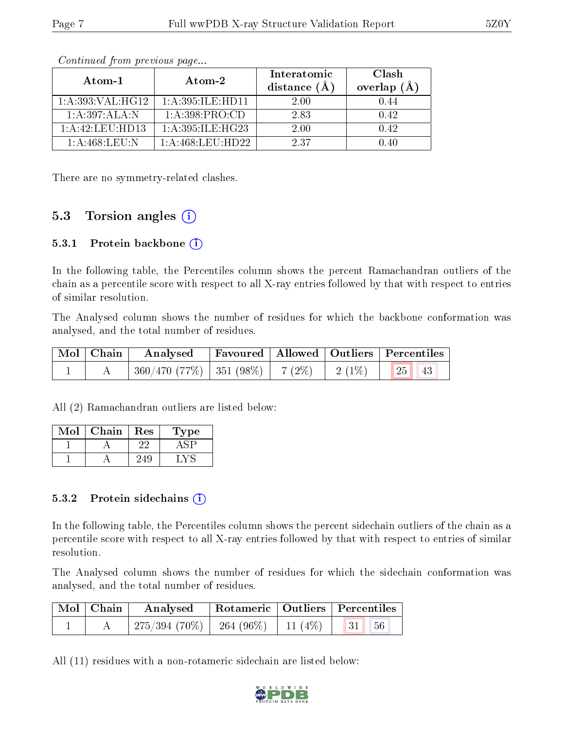| Atom-1                       | Atom-2              | Interatomic<br>distance $(A)$ | Clash<br>overlap $(A)$ |
|------------------------------|---------------------|-------------------------------|------------------------|
| 1: A: 393: VAL: HG12         | 1: A:395: ILE: HDI1 | 2.00                          | 1.44                   |
| 1:A:397:ALA:N                | 1: A:398: PRO:CD    | 2.83                          | 0.42                   |
| $1: A: 42: \text{LEU: HD13}$ | 1: A:395: ILE: HG23 | 2.00                          | 0.42                   |
| $1:$ A:468:LEU:N             | 1: A:468:LEU:HD22   | 237                           | 14O                    |

Continued from previous page...

There are no symmetry-related clashes.

#### 5.3 Torsion angles (i)

#### 5.3.1 Protein backbone  $(i)$

In the following table, the Percentiles column shows the percent Ramachandran outliers of the chain as a percentile score with respect to all X-ray entries followed by that with respect to entries of similar resolution.

The Analysed column shows the number of residues for which the backbone conformation was analysed, and the total number of residues.

| Mol   Chain | Analysed Favoured   Allowed   Outliers   Percentiles |  |                                 |  |
|-------------|------------------------------------------------------|--|---------------------------------|--|
|             | $360/470$ (77\%)   351 (98\%)   7 (2\%)   2 (1\%)    |  | $\vert$ 25 $\vert$<br>$\Box$ 43 |  |

All (2) Ramachandran outliers are listed below:

| Mol | Chain | Res | 1 ype |
|-----|-------|-----|-------|
|     |       |     |       |
|     |       |     |       |

#### 5.3.2 Protein sidechains  $\left( \mathbf{i} \right)$

In the following table, the Percentiles column shows the percent sidechain outliers of the chain as a percentile score with respect to all X-ray entries followed by that with respect to entries of similar resolution.

The Analysed column shows the number of residues for which the sidechain conformation was analysed, and the total number of residues.

| Mol   Chain | Analysed                                  |  | Rotameric   Outliers   Percentiles |  |
|-------------|-------------------------------------------|--|------------------------------------|--|
|             | $275/394(70\%)$ 264 (96\%) 11 (4\%) 31 56 |  |                                    |  |

All (11) residues with a non-rotameric sidechain are listed below:

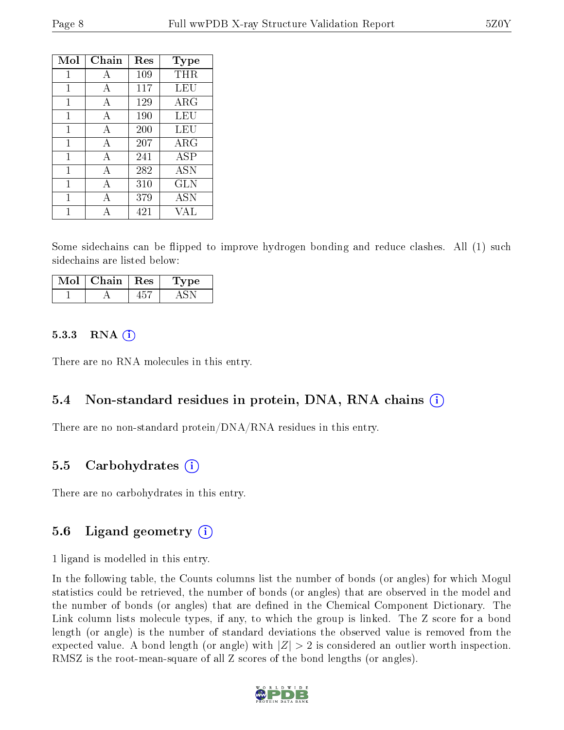| Mol | Chain        | Res | Type       |
|-----|--------------|-----|------------|
| 1   | A            | 109 | THR        |
| 1   | A            | 117 | <b>LEU</b> |
| 1   | А            | 129 | $\rm{ARG}$ |
| 1   | A            | 190 | LEU        |
| 1   | A            | 200 | LEU        |
| 1   | A            | 207 | $\rm{ARG}$ |
| 1   | A            | 241 | <b>ASP</b> |
| 1   | $\mathbf{A}$ | 282 | <b>ASN</b> |
| 1   | A            | 310 | GLN        |
| 1   | А            | 379 | <b>ASN</b> |
|     | Δ            | 421 | VAI.       |

Some sidechains can be flipped to improve hydrogen bonding and reduce clashes. All (1) such sidechains are listed below:

| Chain | $\perp$ Res | vpe |
|-------|-------------|-----|
|       |             |     |

#### 5.3.3 RNA  $(i)$

There are no RNA molecules in this entry.

### 5.4 Non-standard residues in protein, DNA, RNA chains  $(i)$

There are no non-standard protein/DNA/RNA residues in this entry.

#### 5.5 Carbohydrates  $(i)$

There are no carbohydrates in this entry.

#### 5.6 Ligand geometry  $(i)$

1 ligand is modelled in this entry.

In the following table, the Counts columns list the number of bonds (or angles) for which Mogul statistics could be retrieved, the number of bonds (or angles) that are observed in the model and the number of bonds (or angles) that are defined in the Chemical Component Dictionary. The Link column lists molecule types, if any, to which the group is linked. The Z score for a bond length (or angle) is the number of standard deviations the observed value is removed from the expected value. A bond length (or angle) with  $|Z| > 2$  is considered an outlier worth inspection. RMSZ is the root-mean-square of all Z scores of the bond lengths (or angles).

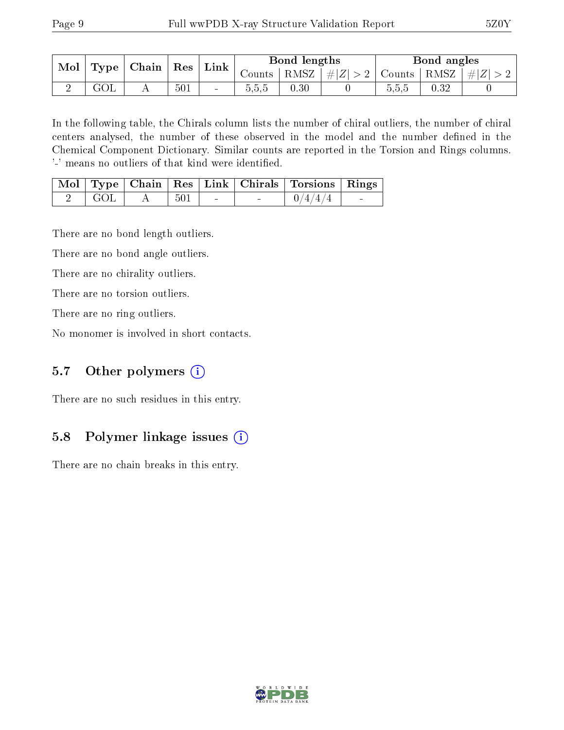| Mol |  | $\vert$ Type $\vert$ Chain $\vert$ Res $\vert$ Link $\vert$ |     |        | Bond lengths |      |                       | Bond angles                         |            |                                      |
|-----|--|-------------------------------------------------------------|-----|--------|--------------|------|-----------------------|-------------------------------------|------------|--------------------------------------|
|     |  |                                                             |     |        | Counts       |      | $ RMSZ  \#  Z  > 2  $ | $\vert$ Counts $\vert$ RMSZ $\vert$ |            | $\vert \# \vert Z \vert > 2$ $\vert$ |
|     |  |                                                             | 501 | $\sim$ | 0.5.5        | 0.30 |                       | 5.5.b                               | $\rm 0.32$ |                                      |

In the following table, the Chirals column lists the number of chiral outliers, the number of chiral centers analysed, the number of these observed in the model and the number defined in the Chemical Component Dictionary. Similar counts are reported in the Torsion and Rings columns. '-' means no outliers of that kind were identified.

|           |    |     |  | Mol   Type   Chain   Res   Link   Chirals   Torsions   Rings |                          |
|-----------|----|-----|--|--------------------------------------------------------------|--------------------------|
| $\pm$ GOL | AA | 501 |  | $-0/4/4/4$                                                   | <b>Contract Contract</b> |

There are no bond length outliers.

There are no bond angle outliers.

There are no chirality outliers.

There are no torsion outliers.

There are no ring outliers.

No monomer is involved in short contacts.

#### 5.7 [O](https://www.wwpdb.org/validation/2017/XrayValidationReportHelp#nonstandard_residues_and_ligands)ther polymers (i)

There are no such residues in this entry.

#### 5.8 Polymer linkage issues (i)

There are no chain breaks in this entry.

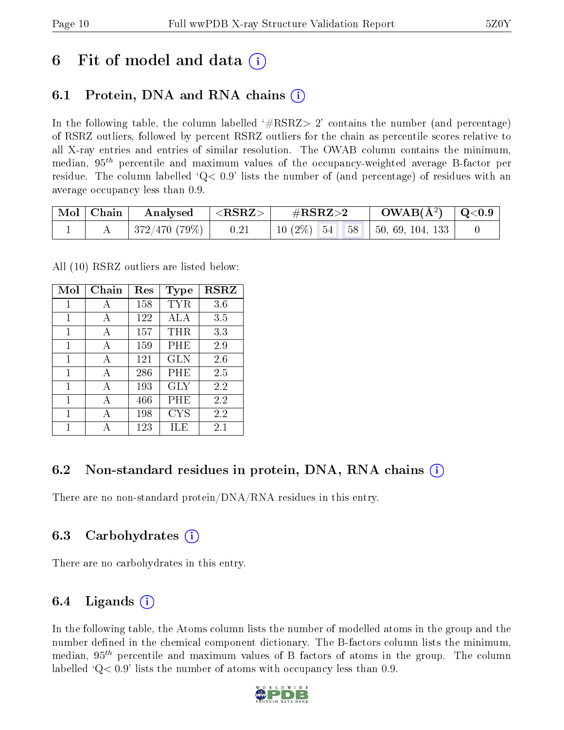## 6 Fit of model and data  $\left( \cdot \right)$

### 6.1 Protein, DNA and RNA chains (i)

In the following table, the column labelled  $#RSRZ>2'$  contains the number (and percentage) of RSRZ outliers, followed by percent RSRZ outliers for the chain as percentile scores relative to all X-ray entries and entries of similar resolution. The OWAB column contains the minimum, median,  $95<sup>th</sup>$  percentile and maximum values of the occupancy-weighted average B-factor per residue. The column labelled  $Q< 0.9$  lists the number of (and percentage) of residues with an average occupancy less than 0.9.

| $\bf{Mol}$ | Chain | Analysed                  | $<$ RSRZ $>$ | $\#\text{RSRZ}\text{>2}$         | $\rm{OWAB}(\AA^2)$ $\vert$ Q<0.9 $\vert$ |  |
|------------|-------|---------------------------|--------------|----------------------------------|------------------------------------------|--|
|            |       | $\pm 372/470$ (79%) $\pm$ | 0.21         | $10(2\%)$ 54 58 50, 69, 104, 133 |                                          |  |

All (10) RSRZ outliers are listed below:

| Mol | Chain        | Res | Type       | <b>RSRZ</b> |
|-----|--------------|-----|------------|-------------|
| 1   | А            | 158 | TYR        | 3.6         |
| 1   | A            | 122 | ALA        | 3.5         |
| 1   | А            | 157 | THR        | 3.3         |
| 1   | A            | 159 | PHE        | 2.9         |
| 1   | A            | 121 | GLN        | 2.6         |
| 1   | $\mathbf{A}$ | 286 | PHE        | 2.5         |
| 1   | A            | 193 | GLY        | 2.2         |
| 1   | A            | 466 | PHE        | 2.2         |
| 1   |              | 198 | <b>CYS</b> | 2.2         |
| 1   |              | 123 | ILE        | $2.1\,$     |

### 6.2 Non-standard residues in protein, DNA, RNA chains (i)

There are no non-standard protein/DNA/RNA residues in this entry.

#### 6.3 Carbohydrates (i)

There are no carbohydrates in this entry.

#### 6.4 Ligands  $(i)$

In the following table, the Atoms column lists the number of modelled atoms in the group and the number defined in the chemical component dictionary. The B-factors column lists the minimum, median,  $95<sup>th</sup>$  percentile and maximum values of B factors of atoms in the group. The column labelled  $Q< 0.9$ ' lists the number of atoms with occupancy less than 0.9.